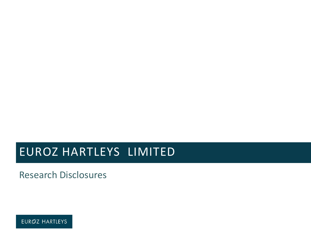## EUROZ HARTLEYS LIMITED

Research Disclosures

EURØZ HARTLEYS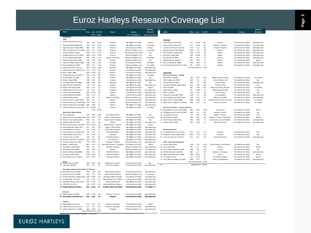## Euroz Hartleys Research Coverage List

|                                                                            | Euroz Hartleys Research Coverage<br><b>Name</b>                  |                   |                            |            |                                            |                                                      | <b>Hartleys</b>                    |                  |                                                                      |                          |                      |            |                                     |                                                      | Hartlevs                           |
|----------------------------------------------------------------------------|------------------------------------------------------------------|-------------------|----------------------------|------------|--------------------------------------------|------------------------------------------------------|------------------------------------|------------------|----------------------------------------------------------------------|--------------------------|----------------------|------------|-------------------------------------|------------------------------------------------------|------------------------------------|
|                                                                            |                                                                  |                   | Ticke Last M. CAP          |            | <b>Status</b>                              | Analyst                                              | Research                           |                  | Name                                                                 |                          | Ticker Last M. CAP   |            | <b>Status</b>                       | Analyst                                              | Research                           |
| Price* (A\$m)<br>Ph" +618 9268 ext<br>Recommendation<br><b>MARKOUTERIA</b> |                                                                  |                   |                            |            |                                            |                                                      |                                    |                  |                                                                      |                          |                      |            |                                     |                                                      |                                    |
| Gold<br>Oil & Gas                                                          |                                                                  |                   |                            |            |                                            |                                                      |                                    |                  |                                                                      |                          |                      |            |                                     |                                                      |                                    |
|                                                                            | 1. Northern Star Resources Ltd                                   | <b>NST</b>        | 15.65                      | 11 544     | Producer                                   | Mke Milkan (ext 2805)                                | Neutral                            |                  | 1. Strike Energy Limited (STX)                                       | <b>STX</b>               | 0.2725               | 482        | Explorer                            | Trent Barnett (ext 3052)                             | Speculative Buy                    |
|                                                                            | 2. Saracen Mineral Holdings Ltd                                  | SAR               | 5.95                       | 6,579      | Produce                                    | Mke Milkan (ext 2805)                                | Accumulate                         | $\overline{2}$ . | Senex Energy Limited (SXY)                                           | SXY                      | 0.325                | 467        | Explorer / Producer                 | Trent Barnett (ext 3052)                             | Speculative Buy                    |
|                                                                            | 3. Regis Resources Limited (RRL)                                 | <b>RRL</b>        | 5.01                       | 2.56'      | Produce                                    | Trent Barnett (ext 3052)                             | Reduce                             | 3.               | Carnarvon Petroleum Ltd (CVN                                         | <b>CVN</b>               | 0.21                 | 321        | Producer / Explorer                 | Trent Barnett (ext 3052)                             | Speculative Buy                    |
|                                                                            | Silver Lake Resources Ltd (SLR)<br>4.                            | <b>SLR</b>        | 2.42                       | 2.159      | Produce                                    | Michael Scantlebury (ext                             | Accumulate                         | 4.               | Warrego Energy Limited (WGO)                                         | WGO                      | 0.25                 | 199        | Explorer                            | Trent Barnett (ext 3052)                             | Speculative Buy                    |
|                                                                            | 5. Perseus Mining Ltd (PRU)                                      | PRU               | 1.42                       | 1,740      | Producer                                   | John Macdonald (ext 3020)                            | Buy                                | 5.               | Elixir Petroleum Limited (EXR)                                       | <b>EXR</b>               | 0.135                | 88         | Explorer                            | Trent Barnett (ext 3052)                             | Speculative Buy                    |
|                                                                            | 6. Ramelius Resources Ltd (RMS)                                  | <b>RMS</b>        | 2.125                      | 1,690      | Producer                                   | Michael Scantlebury (ext                             | Buv                                | 6.               | 88 Energy Limited (88E)                                              | 88E                      | 0.0065               | 46         | Explorer                            | Trent Barnett (ext 3052)                             | Speculative Buy                    |
|                                                                            | 7. De Grey Mining Limited (DEG                                   | <b>DEG</b>        | 1.245                      | 1,370      | Explorer / Developer                       | Michael Scantlebury (ext                             | Accumulate                         | $\overline{7}$   | Buru Energy Ltd (BRU)                                                | <b>BRU</b>               | 0.08                 | 35         | Producer                            | Trent Barnett (ext 3052)                             | Speculative Buy                    |
|                                                                            | 8. Gold Road Resources (GOR)                                     | GOR               | 1.515                      | 1.345      | Producer                                   | Michael Scantlebury (ext                             | Buy                                | 8.               | Melbana Energy Ltd (MAY)                                             | MAY                      | 0.012                | 25         | Explorer                            | Trent Barnett (ext 3052)                             | Neutral                            |
|                                                                            | 9. Capricorn Metals Limited (CMM)                                | CMM               | 1.765                      | 1.320      | Developer                                  | Trent Barnett (ext 3052)                             | No Rating                          | 9.               | Norwest Energy NL (NWE)                                              | <b>NWE</b>               | 0.004                | 20         | Explorer                            | Trent Barnett (ext 3052)                             | Speculative Buy                    |
|                                                                            | 10. Resolute Mining Ltd (RSG)                                    | <b>RSG</b>        | 0.94                       | 1,043      | Producer                                   | Michael Scantlebury (ext                             | Accumulate                         |                  | 10. Pancontinental Oil and Gas NL (PCL)                              | PCL                      | 0.0015               | 8          | Explorer                            | Trent Barnett (ext 3052)                             | Speculative Buy                    |
|                                                                            | 11. West African Resources Ltd                                   | WAF               | 1.1575                     | 1.008      | Developer                                  | Mike Milikan (ext 2805)                              | Speculative Buy                    |                  |                                                                      |                          | Sub-Total Oil & Gas  | 1.469      |                                     |                                                      |                                    |
|                                                                            | 12. Alkane Resources Limited (ALK)                               | ALK               | 1.435                      | 868        | Producer                                   | Trent Barnett (ext 3052)                             | Speculative Buy                    |                  |                                                                      |                          |                      |            |                                     |                                                      |                                    |
|                                                                            | 13. Red 5 Limited (RED)                                          | <b>RED</b>        | 0.3075                     | 591        | Producer                                   | Trent Barnett (ext 3052)                             | Speculative Buy                    |                  | Industrials                                                          |                          |                      |            |                                     |                                                      |                                    |
|                                                                            | 14. Cardinal Resources Ltd (CDV)                                 | CDV               | 1.055                      | 553        | Explorer                                   | Mke Milkan (ext 2805)                                | No Rating                          |                  | Resource Services - Capital                                          |                          |                      |            |                                     |                                                      |                                    |
|                                                                            | 15. Aurelia Metals Ltd (AM)                                      | AM                | 0.50                       | 428        | Producer                                   | Mke Milkan (ext 2805)                                | Buy                                |                  | Mineral Res. Ltd (MIN)                                               | <b>MN</b>                | 25.47                | 5,044      | Mining services & mining            | Trent Barnett (ext 3052)                             | Accumulate                         |
|                                                                            | 16. Pantoro Limited (PNR)                                        | <b>PNR</b>        | 0.225                      | 303        | Producer                                   | Trent Barnett (ext 3052)                             | Speculative Buy                    | $2.$             | NRW Holdings Ltd (NWH)                                               | <b>NWH</b>               | 2.10                 | 913        | Contract Mining / Civil             | Trent Barnett (ext 3052)                             | Buy                                |
|                                                                            | 17. Ora Banda Mining Ltd (OBM)                                   | OBM               | 0.365                      | 302        | Developer                                  | Mke Milkan (ext 2805)                                | Buy                                | 3.               | Perenti Global Ltd (PRN)                                             | PRN                      | 1.15                 | 818        | Contract Mining                     | Trent Barnett (ext 3052)                             | Speculative Buy                    |
|                                                                            | 18. Tietto Minerals Limited (TIE)                                | TIE               | 0.52                       | 245        | Explorer                                   | Mke Milkan (ext 2805)                                | Speculative Buy                    | 4.               | Macmahon Holdings Limited (MAH)                                      | MAH                      | 0.245                | 539        | Contract mining                     | Trent Barnett (ext 3052)                             | Buy                                |
|                                                                            | 19. Dacian Gold Limited (DCN)                                    | <b>DCN</b>        | 0.41                       | 211        | Producer                                   | Trent Barnett (ext 3052)                             | Neutral                            | 5.               | Index Ltd (IMD)                                                      | <b>IMD</b>               | 1.345                | 533        | Mining Technology Services          | Trent Barnett (ext 3052)                             | Accumulate                         |
|                                                                            | 20. Calidus Resources Ltd (CAI)                                  | CAI               | 0.61                       | 162        | Developer                                  | Mike Milikan (ext 2805)                              | Speculative Buv                    | 6.               | Emeco Hdgs Ltd (EHL)                                                 | EHL.                     | 0.835                | 312<br>229 | Mining equipment rental             | Trent Barnett (ext 3052)                             | Buy                                |
|                                                                            | 21. Bardoc Gold Limited (BDC)                                    | <b>BDC</b>        | 0.078<br>0.175             | 114<br>87  | Explorer                                   | Trent Barnett (ext 3052)                             | Speculative Buy                    | $7. \,$          | MACA Ltd (MLD)                                                       | <b>MLD</b>               | 0.84<br>170          | 163        | Contract mining                     | Trent Barnett (ext 3052)                             | Buy                                |
|                                                                            | 22 Navarre Minerals Ltd (NML)<br>23 Matador Mining Limited       | <b>NM</b><br>M77  | 0.44                       | 77         | Explorer<br>Explorer / Developer           | Trent Barnett (ext 3052)<br>Michael Scantlebury (ext | Speculative Buv                    | 8                | Fleetwood Corporation (FWD)                                          | <b>FWD</b><br><b>ANG</b> | 0.16                 | 96         | Accommodation<br>Mining consumables | Trent Barnett (ext 3052)<br>Trent Barnett (ext 3052) | Speculative Buy<br>Speculative Buy |
|                                                                            | 24. Exore Resources Limited (ERX)                                | <b>ERX</b>        | 0.12                       | 74         | Explorer                                   | Trent Barnett (ext 3052)                             | Speculative Buy<br>Speculative Buy |                  | 9. Austin Engineering Limited (ANG)<br>10. MMA Offshore Limited (MRM | MRW                      | 0.058                | 54         | Offshore Oil & Gas Services & Port  | Trent Barnett (ext 3052)                             | Accumulate                         |
|                                                                            | 25. Predictive Discovery Limited (PDI)                           | PDI               | 0.062                      | 51         | Explorer                                   | Michael Scantlebury (ext                             | Speculative Buy                    |                  | 11. Matrix Comp. & Engineer. Ltd (MCE)                               | <b>MCE</b>               | 0.16                 | 12         | Oil & Gas Services                  | Trent Barnett (ext 3052)                             | Accumulate                         |
|                                                                            | 26. Emmerson Resources Ltd (ERM)                                 | <b>ERM</b>        | 0.088                      | 42         | Explorer                                   | Mke Milkan (ext 2805)                                | Speculative Buy                    |                  |                                                                      |                          |                      |            |                                     |                                                      |                                    |
|                                                                            | 27. Gascoyne Resources Ltd (GCY)                                 |                   | GCY 0.02967                | 30         | Producer                                   | Mke Milkan (ext 2805)                                | No Rating                          |                  | Resource Services - Labour Intensive                                 |                          |                      |            |                                     |                                                      |                                    |
|                                                                            |                                                                  |                   | Total                      | 35 862     |                                            |                                                      |                                    |                  | 12. Monadelphous Group Limited (MND)                                 | <b>MND</b>               | 10.44                | 1.002      | Construction                        | Trent Barnett (ext 3052)                             | Neutral                            |
|                                                                            | Diversified / Base Metals                                        |                   |                            |            |                                            |                                                      |                                    |                  | 13. GR Engineering Services Ltd (GNG)                                | GNG                      | 1.11                 | 185        | Engineer. & Constr.                 | Trent Barnett (ext 3052)                             | Buy                                |
|                                                                            | 28. IGO Limited (IGO)                                            |                   | IGO 4.425                  | 2,594      | Diversified Producer                       | Mike Milikan (ext 2805)                              | Buy                                |                  | 14. Lycopodium Ltd (LYL)                                             | LYL                      | 4.05                 | 161        | Engineer. & Constr.                 | Trent Barnett (ext 3052)                             | Buy                                |
|                                                                            | 29. Sandfire Resources Limited (SFR)                             | SFR               | 4.365                      | 782        | Copper & Gold Producer                     | Trent Barnett (ext 3052)                             | Accumulate                         |                  | 15. SRG Global Ltd (SRG)                                             | SRG                      | 0.32                 | 140        | Engineer. / Constr. & Drill & Blast | Trent Barnett (ext 3052)                             | Neutral                            |
|                                                                            | 30. Western Areas Limited (WSA)                                  | WSA               | 2.21                       | 610        | Nickel Producer / Explorer                 | Mke Milkan (ext 2805)                                | Buy                                |                  | 16. Decmil Group Limited (DCG)                                       | DOG                      | 0.055                | 72         | Construction & Accommodation        | Trent Barnett (ext 3052)                             | Speculative Buy                    |
|                                                                            | 31. Adriatic Metals PLC (ADT)                                    | ADT               | 2.13                       | 436        | Explorer                                   | Mke Milkan (ext 2805)                                | Speculative Buy                    |                  | 17. Valmec Limited (VMX)                                             | VMX                      | 0.165                | 21         | Oil & Gas Services                  | Trent Barnett (ext 3052)                             | Speculative Buy                    |
|                                                                            | 32. Panoramic Resources Ltd (PAN)                                | PAN               | 0.1025                     | 205        | Nickel Producer / Explorer                 | Mke Milkan (ext 2805)                                | Reduce                             |                  |                                                                      |                          |                      |            |                                     |                                                      |                                    |
|                                                                            | 33. Stavely Minerals Limited (SVY)                               | SVY               | 0.55                       | 118        | Copper / Gold: Explorer                    | Mke Milkan (ext 2805)                                | Speculative Buv                    |                  |                                                                      |                          |                      |            |                                     |                                                      |                                    |
|                                                                            | 34. Antipa Minerals Ltd (AZY)                                    | AZY               | 0.054                      | 97         | Gold / Copper: Explorer                    | Mke Milkan (ext 2805)                                | Speculative Buy                    |                  | <b>Financial Services</b>                                            |                          |                      |            |                                     |                                                      |                                    |
|                                                                            | 35. Cassini Resources Limited (CZI)                              | CZI               | 0.22                       | 97         | Diversified Explorer                       | Mke Milkan (ext 2805)                                | Speculative Buy                    |                  | 18. Australian Finance Group (AFG)                                   | AFG                      | 2.26                 | 612        | Financial                           | Trent Barnett (ext 3052)                             | Buy                                |
|                                                                            | 36 Galena Mining Limited (G1A)                                   | G1A               | 0.225                      | 87         | Daveloper                                  | Mke Milkan (ext 2805)                                | Sneculative Buy                    |                  | 19 Primew est Group Limited (PWG)                                    | <b>PWG</b>               | 1 1 1 5              | 381        | Property                            | Trent Barnett (ext 3052)                             | Buy                                |
|                                                                            | 37. S2 Resources Ltd (S2R)                                       | S <sub>2R</sub>   | 0.27                       | 87         | Diversified Explorer                       | Mike Milikan (ext 2805)                              | Speculative Buv                    |                  | 20. Cash Converters Int. Ltd (CCV)                                   | CCV                      | 0.17                 | 102        | <b>Unsecured Finance</b>            | Trent Barnett (ext 3052)                             | Speculative Buy                    |
|                                                                            | 38. Red River Resources Ltd (RVR)                                | <b>RVR</b>        | 0.165                      | 85         | Zinc Producer                              | Mike Milikan (ext 2805)                              | Speculative Buv                    |                  |                                                                      |                          |                      |            |                                     |                                                      |                                    |
|                                                                            | 39. Venturex Resources Limited                                   | <b>VXR</b>        | 0.094                      | 73         | Developer / Explorer                       | Michael Scantlebury (ext                             | Speculative Buy                    |                  | <b>Other Industrial Companies</b>                                    |                          |                      |            |                                     |                                                      |                                    |
|                                                                            | 40. Metals X Limited (MLX)                                       | <b>MLX</b>        | 0.074                      | 67         | Diversified Producer / Developer           | Trent Barnett (ext 3052)                             | Neutral                            |                  | 21. Austal Limited (ASB)                                             | ASB                      | 3.30                 | 1,161      | Marine Design & Construction        | Trent Barnett (ext 3052)                             | Buy                                |
|                                                                            | 41. PNX Metals Limited (PNX)<br>42. Peel Mining Limited (PEX)    | <b>PNX</b><br>PEX | 0.01<br>0.245              | 67<br>62   | Developer / Explorer<br>Explorer           | Michael Scantlebury (ext<br>Michael Scantlebury (ex  | Speculative Buy<br>Speculative Buy |                  | 22. Peet Limited (PPC)<br>23. Cedar Woods Properties (CWP)           | PPC<br>CWF               | 1.27<br>5.91         | 625<br>475 | Property<br>Property                | Trent Barnett (ext 3052)<br>Trent Barnett (ext 3052) | Neutral<br>Buy                     |
|                                                                            | 43. Duketon Mining Limited (DKM)                                 | <b>DKM</b>        | 0.24                       | ${\bf 28}$ | Diversified Explorer                       | Mke Milkan (ext 2805)                                | Speculative Buy                    |                  | 24. Orbital Corporation Ltd (OEC)                                    | OEC                      | 1.27                 | 104        | Engineer. & Aerospace               | Trent Barnett (ext 3052)                             | Speculative Buy                    |
|                                                                            | 44. Ausquest Limited (AQD)                                       | <b>AQD</b>        | 0.029                      | 20         | Diversified Explorer                       | Mike Milikan (ext 2805)                              | Speculative Buy                    |                  | 25. Gage Roads Brewing Co (GRB)                                      | GRB                      | 0.054                | 67         | Brew er                             | Trent Barnett (ext 3052)                             | Neutral                            |
|                                                                            | 45. Buxton Resources Ltd (BUX)                                   | <b>BUX</b>        | 0.084                      | 11         | Diversified Explorer                       | Mike Milikan (ext 2805)                              | Speculative Buy                    |                  | 26. CTI Logistics (CLX)                                              | <b>CLX</b>               | 0.575                | 45         | Air Freight & Logistics             | Trent Barnett (ext 3052)                             | Neutral                            |
|                                                                            |                                                                  |                   |                            |            |                                            |                                                      |                                    |                  | 27. Cirrus Netw orks Hidgs Ltd (CNW)                                 | CNM                      | 0.03                 | 27         | IT Service Management               | Trent Barnett (ext 3052)                             | Speculative Buy                    |
|                                                                            |                                                                  |                   |                            |            |                                            |                                                      |                                    |                  |                                                                      |                          | Sub-Total Industrial | 13,891     |                                     |                                                      |                                    |
|                                                                            | Bulks<br>46. Jupiter Mines Ltd (JMS)<br>47. Fenix Res Ltd (FEX)  | JMS<br><b>FEX</b> | 0.275                      | 539<br>43  | Manganese: Producer<br>Iron Ore: Developer | Trent Barnett (ext 3052)                             | Buy<br>Speculative Buy             | 98.              |                                                                      |                          | GRAND TOTAL 96,487   |            |                                     |                                                      |                                    |
|                                                                            |                                                                  |                   | 0.12                       |            |                                            | Trent Barnett (ext 3052)                             |                                    |                  |                                                                      |                          |                      |            |                                     |                                                      |                                    |
|                                                                            | Specialty metals and minerals (ex lithium)                       |                   |                            |            |                                            |                                                      |                                    |                  |                                                                      |                          |                      |            |                                     |                                                      |                                    |
|                                                                            | 48. Base Resources Ltd (BSE)                                     | <b>RSF</b>        | 0.25                       | 293        | Mineral Sands Producer                     | Trent Barnett (ext 3052)                             | Speculative Buy                    |                  |                                                                      |                          |                      |            |                                     |                                                      |                                    |
|                                                                            | 49. Image Resources NL (IMA)                                     | <b>MA</b>         | 0.19                       | 193        | Mineral Sands Producer                     | Mchael Scantlebury (ext                              | Accumulate                         |                  |                                                                      |                          |                      |            |                                     |                                                      |                                    |
|                                                                            | 50. Arafura Resources Limited (ARU)                              | ARU               | 0.098                      | 123        | Rare Earth (NdPr) Developer                | Trent Barnett (ext 3052)                             | Speculative Buy                    |                  |                                                                      |                          |                      |            |                                     |                                                      |                                    |
|                                                                            | 51. Strandline Res. Ltd (STA)                                    | <b>STA</b>        | 0.20                       | 91         | Mineral Sands Dev. / Explorer              | Trent Barnett (ext 3052)                             | Speculative Buy                    |                  |                                                                      |                          |                      |            |                                     |                                                      |                                    |
|                                                                            | 52. Australian Potash Limited (APC)                              | APC.              | 0.155                      | 75         | Potash (SOP) Explorer                      | Mke Milkan (ext 2805)                                | Speculative Buy                    |                  |                                                                      |                          |                      |            |                                     |                                                      |                                    |
|                                                                            | 53. VRX Silica Ltd (VRX)                                         | VRX               | 0.135                      | 56         | Industrial Minerals: Explorer /            | Trent Barnett (ext 3052)                             | Speculative Buy                    |                  |                                                                      |                          |                      |            |                                     |                                                      |                                    |
|                                                                            | 54. Rakası: Mirasəlsu kölds Bilmiled                             |                   | <b>ANJ 00918</b>           | 鹆          | Greenhite: EGold 6 Banne Ventaler          | TrentBarnett(ext3052)                                | Spenulative Buy                    |                  |                                                                      |                          |                      |            |                                     |                                                      |                                    |
|                                                                            | Uranium                                                          |                   |                            |            |                                            |                                                      |                                    |                  |                                                                      |                          |                      |            |                                     |                                                      |                                    |
|                                                                            | 56. Paladin Energy Ltd (PDN)                                     |                   | PDN 0.1275                 | 259        | Producer on Care &                         | Trent Barnett (ext 3052)                             | Speculative Buy                    |                  |                                                                      |                          |                      |            |                                     |                                                      |                                    |
|                                                                            | 59. Bese Kelewroasterhield (ace)                                 | ₿Œ                | 0.006                      | 78         | Derebasper                                 | Trenk Barnett (ext 3052)                             | Speculative Buy                    |                  |                                                                      |                          |                      |            |                                     |                                                      |                                    |
|                                                                            |                                                                  |                   |                            |            |                                            |                                                      |                                    |                  |                                                                      |                          |                      |            |                                     |                                                      |                                    |
|                                                                            | Lithium                                                          |                   |                            |            | Producer / Developer                       |                                                      |                                    |                  |                                                                      |                          |                      |            |                                     |                                                      |                                    |
|                                                                            | 59. Pilbara Minerals Ltd (PLS)<br>60. Galaxy Resources Ltd (GXY) | <b>PIS</b><br>GXY | 0.375<br>1.30              | 791<br>516 | Producer / Developer                       | Trent Barnett (ext 3052)<br>Trent Barnett (ext 3052) | Reduce<br>Speculative Buy          |                  |                                                                      |                          |                      |            |                                     |                                                      |                                    |
|                                                                            | 61. Infinity Lithium Corp. Ltd (INF)                             |                   | NF 0.093                   | 25         | Developer                                  | Michael Scantlebury (ext                             | Speculative Buy                    |                  |                                                                      |                          |                      |            |                                     |                                                      |                                    |
|                                                                            |                                                                  |                   | Sub-Total Resources 81,127 |            |                                            |                                                      |                                    |                  |                                                                      |                          |                      |            |                                     |                                                      |                                    |

**Page 2**

Source: IRESS, Euroz Hartleys Research. \* 8 Oct 2020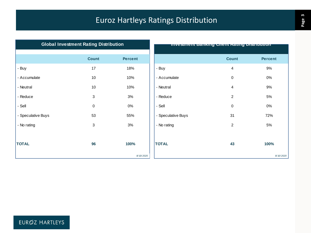## Euroz Hartleys Ratings Distribution

|                    | <b>Global Investment Rating Distribution</b> |                |                    | <b>Investment Banking Glient Kating Distribution</b> |               |
|--------------------|----------------------------------------------|----------------|--------------------|------------------------------------------------------|---------------|
|                    | <b>Count</b>                                 | <b>Percent</b> |                    | <b>Count</b>                                         | <b>Percer</b> |
| - Buy              | 17                                           | 18%            | - Buy              | 4                                                    | 9%            |
| - Accumulate       | 10                                           | 10%            | - Accumulate       | $\mathbf 0$                                          | 0%            |
| - Neutral          | 10                                           | 10%            | - Neutral          | 4                                                    | 9%            |
| - Reduce           | 3                                            | 3%             | - Reduce           | $\overline{2}$                                       | 5%            |
| - Sell             | 0                                            | $0\%$          | - Sell             | 0                                                    | 0%            |
| - Speculative Buys | 53                                           | 55%            | - Speculative Buys | 31                                                   | 72%           |
| - No rating        | 3                                            | 3%             | - No rating        | 2                                                    | 5%            |
|                    |                                              |                |                    |                                                      |               |
| <b>TOTAL</b>       | 96                                           | 100%           | <b>TOTAL</b>       | 43                                                   | 100%          |
|                    |                                              | 8/10/2020      |                    |                                                      |               |

| ועוויש בוטווישן <b>ש</b> וווי |                | mvesiment Banking Chent Rating Distribution |                         |                |  |  |  |
|-------------------------------|----------------|---------------------------------------------|-------------------------|----------------|--|--|--|
| <b>Count</b>                  | <b>Percent</b> |                                             | <b>Count</b>            | <b>Percent</b> |  |  |  |
| $17\,$                        | 18%            | - Buy                                       | $\overline{\mathbf{4}}$ | 9%             |  |  |  |
| 10                            | 10%            | - Accumulate                                | $\pmb{0}$               | $0\%$          |  |  |  |
| $10$                          | 10%            | - Neutral                                   | $\overline{4}$          | 9%             |  |  |  |
| $\ensuremath{\mathsf{3}}$     | 3%             | - Reduce                                    | $\overline{c}$          | 5%             |  |  |  |
| $\pmb{0}$                     | $0\%$          | - Sell                                      | $\pmb{0}$               | $0\%$          |  |  |  |
| 53                            | 55%            | - Speculative Buys                          | 31                      | 72%            |  |  |  |
| $\ensuremath{\mathsf{3}}$     | 3%             | - No rating                                 | $\boldsymbol{2}$        | $5%$           |  |  |  |
|                               |                |                                             |                         |                |  |  |  |
| 96                            | 100%           | <b>TOTAL</b>                                | 43                      | 100%           |  |  |  |
|                               | 8/10/2020      |                                             |                         | 8/10/2020      |  |  |  |